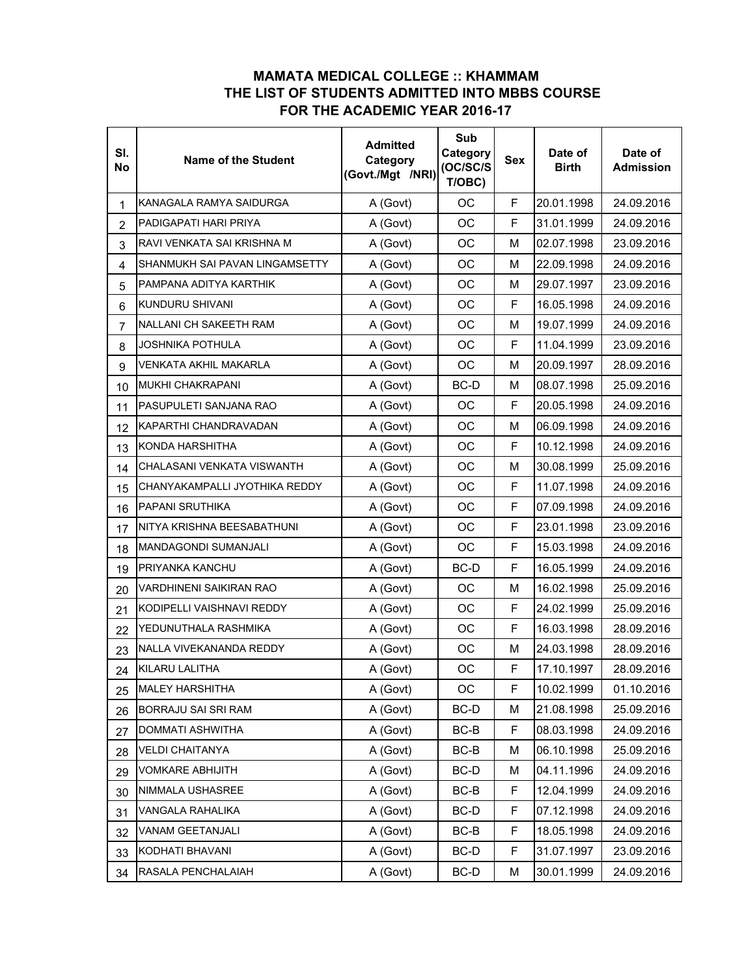## **MAMATA MEDICAL COLLEGE :: KHAMMAM THE LIST OF STUDENTS ADMITTED INTO MBBS COURSE FOR THE ACADEMIC YEAR 2016-17**

| SI.<br><b>No</b>        | <b>Name of the Student</b>     | <b>Admitted</b><br>Category<br>(Govt./Mgt /NRI) | Sub<br>Category<br>(OC/SC/S<br>T/OBC) | <b>Sex</b> | Date of<br><b>Birth</b> | Date of<br><b>Admission</b> |
|-------------------------|--------------------------------|-------------------------------------------------|---------------------------------------|------------|-------------------------|-----------------------------|
| 1                       | KANAGALA RAMYA SAIDURGA        | A (Govt)                                        | OC                                    | F          | 20.01.1998              | 24.09.2016                  |
| $\overline{2}$          | PADIGAPATI HARI PRIYA          | A (Govt)                                        | ОC                                    | F          | 31.01.1999              | 24.09.2016                  |
| 3                       | RAVI VENKATA SAI KRISHNA M     | A (Govt)                                        | ОC                                    | M          | 02.07.1998              | 23.09.2016                  |
| $\overline{\mathbf{4}}$ | SHANMUKH SAI PAVAN LINGAMSETTY | A (Govt)                                        | OC                                    | M          | 22.09.1998              | 24.09.2016                  |
| 5                       | PAMPANA ADITYA KARTHIK         | A (Govt)                                        | ОC                                    | M          | 29.07.1997              | 23.09.2016                  |
| 6                       | KUNDURU SHIVANI                | A (Govt)                                        | ОC                                    | F          | 16.05.1998              | 24.09.2016                  |
| $\overline{7}$          | NALLANI CH SAKEETH RAM         | A (Govt)                                        | <b>OC</b>                             | M          | 19.07.1999              | 24.09.2016                  |
| 8                       | <b>JOSHNIKA POTHULA</b>        | A (Govt)                                        | ОC                                    | F          | 11.04.1999              | 23.09.2016                  |
| 9                       | VENKATA AKHIL MAKARLA          | A (Govt)                                        | <b>OC</b>                             | M          | 20.09.1997              | 28.09.2016                  |
| 10                      | <b>MUKHI CHAKRAPANI</b>        | A (Govt)                                        | BC-D                                  | м          | 08.07.1998              | 25.09.2016                  |
| 11                      | PASUPULETI SANJANA RAO         | A (Govt)                                        | ОC                                    | F          | 20.05.1998              | 24.09.2016                  |
| 12                      | KAPARTHI CHANDRAVADAN          | A (Govt)                                        | ОC                                    | M          | 06.09.1998              | 24.09.2016                  |
| 13                      | <b>KONDA HARSHITHA</b>         | A (Govt)                                        | ОC                                    | F          | 10.12.1998              | 24.09.2016                  |
| 14                      | CHALASANI VENKATA VISWANTH     | A (Govt)                                        | ОC                                    | м          | 30.08.1999              | 25.09.2016                  |
| 15                      | CHANYAKAMPALLI JYOTHIKA REDDY  | A (Govt)                                        | OC                                    | F          | 11.07.1998              | 24.09.2016                  |
| 16                      | <b>PAPANI SRUTHIKA</b>         | A (Govt)                                        | ОC                                    | F          | 07.09.1998              | 24.09.2016                  |
| 17                      | NITYA KRISHNA BEESABATHUNI     | A (Govt)                                        | ОC                                    | F          | 23.01.1998              | 23.09.2016                  |
| 18                      | <b>MANDAGONDI SUMANJALI</b>    | A (Govt)                                        | OC                                    | F          | 15.03.1998              | 24.09.2016                  |
| 19                      | PRIYANKA KANCHU                | A (Govt)                                        | BC-D                                  | F          | 16.05.1999              | 24.09.2016                  |
| 20                      | VARDHINENI SAIKIRAN RAO        | A (Govt)                                        | <b>OC</b>                             | м          | 16.02.1998              | 25.09.2016                  |
| 21                      | KODIPELLI VAISHNAVI REDDY      | A (Govt)                                        | <b>OC</b>                             | F          | 24.02.1999              | 25.09.2016                  |
| 22                      | YEDUNUTHALA RASHMIKA           | A (Govt)                                        | <b>OC</b>                             | F          | 16.03.1998              | 28.09.2016                  |
| 23                      | NALLA VIVEKANANDA REDDY        | A (Govt)                                        | ОC                                    | M          | 24.03.1998              | 28.09.2016                  |
| 24                      | KILARU LALITHA                 | A (Govt)                                        | <b>OC</b>                             | F.         | 17.10.1997              | 28.09.2016                  |
| 25                      | <b>MALEY HARSHITHA</b>         | A (Govt)                                        | OС                                    | F          | 10.02.1999              | 01.10.2016                  |
| 26                      | BORRAJU SAI SRI RAM            | A (Govt)                                        | BC-D                                  | М          | 21.08.1998              | 25.09.2016                  |
| 27                      | DOMMATI ASHWITHA               | A (Govt)                                        | BC-B                                  | F          | 08.03.1998              | 24.09.2016                  |
| 28                      | <b>VELDI CHAITANYA</b>         | A (Govt)                                        | BC-B                                  | М          | 06.10.1998              | 25.09.2016                  |
| 29                      | <b>VOMKARE ABHIJITH</b>        | A (Govt)                                        | BC-D                                  | м          | 04.11.1996              | 24.09.2016                  |
| 30                      | NIMMALA USHASREE               | A (Govt)                                        | $BC-B$                                | F          | 12.04.1999              | 24.09.2016                  |
| 31                      | VANGALA RAHALIKA               | A (Govt)                                        | BC-D                                  | F          | 07.12.1998              | 24.09.2016                  |
| 32                      | VANAM GEETANJALI               | A (Govt)                                        | BC-B                                  | F          | 18.05.1998              | 24.09.2016                  |
| 33                      | KODHATI BHAVANI                | A (Govt)                                        | BC-D                                  | F          | 31.07.1997              | 23.09.2016                  |
| 34                      | RASALA PENCHALAIAH             | A (Govt)                                        | BC-D                                  | М          | 30.01.1999              | 24.09.2016                  |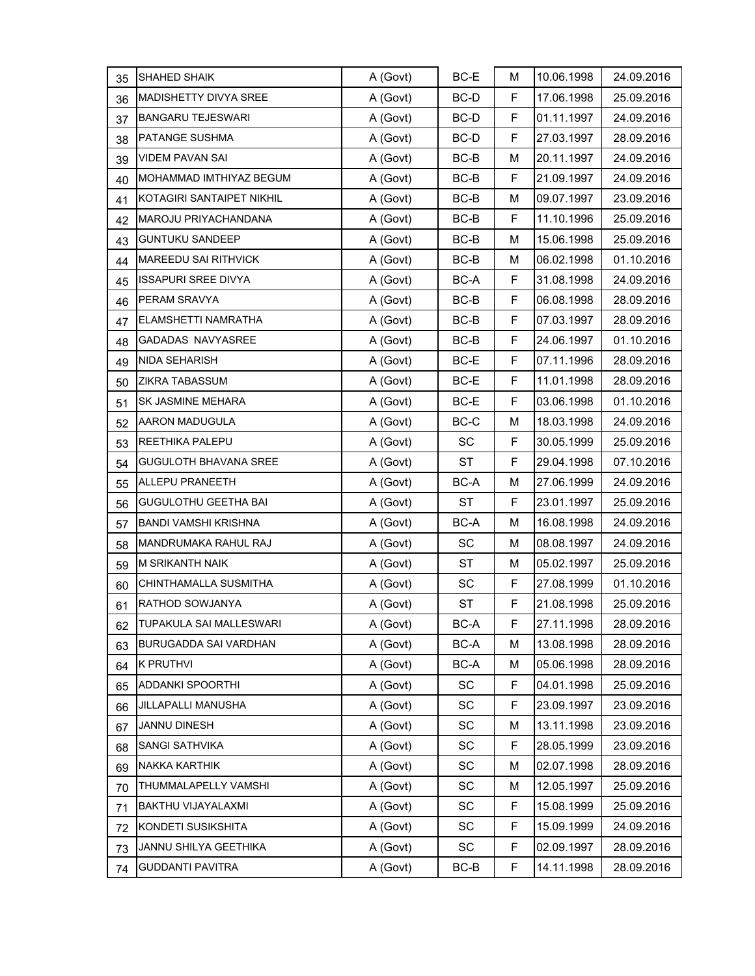| 35 | <b>SHAHED SHAIK</b>         | A (Govt) | BC-E      | М  | 10.06.1998 | 24.09.2016 |
|----|-----------------------------|----------|-----------|----|------------|------------|
| 36 | MADISHETTY DIVYA SREE       | A (Govt) | BC-D      | F  | 17.06.1998 | 25.09.2016 |
| 37 | <b>BANGARU TEJESWARI</b>    | A (Govt) | BC-D      | F  | 01.11.1997 | 24.09.2016 |
| 38 | PATANGE SUSHMA              | A (Govt) | BC-D      | F  | 27.03.1997 | 28.09.2016 |
| 39 | <b>VIDEM PAVAN SAI</b>      | A (Govt) | BC-B      | M  | 20.11.1997 | 24.09.2016 |
| 40 | MOHAMMAD IMTHIYAZ BEGUM     | A (Govt) | BC-B      | F  | 21.09.1997 | 24.09.2016 |
| 41 | KOTAGIRI SANTAIPET NIKHIL   | A (Govt) | $BC-B$    | M  | 09.07.1997 | 23.09.2016 |
| 42 | MAROJU PRIYACHANDANA        | A (Govt) | BC-B      | F  | 11.10.1996 | 25.09.2016 |
| 43 | <b>GUNTUKU SANDEEP</b>      | A (Govt) | $BC-B$    | M  | 15.06.1998 | 25.09.2016 |
| 44 | MAREEDU SAI RITHVICK        | A (Govt) | $BC-B$    | М  | 06.02.1998 | 01.10.2016 |
| 45 | <b>ISSAPURI SREE DIVYA</b>  | A (Govt) | BC-A      | F  | 31.08.1998 | 24.09.2016 |
| 46 | PERAM SRAVYA                | A (Govt) | BC-B      | F  | 06.08.1998 | 28.09.2016 |
| 47 | ELAMSHETTI NAMRATHA         | A (Govt) | BC-B      | F  | 07.03.1997 | 28.09.2016 |
| 48 | GADADAS NAVYASREE           | A (Govt) | $BC-B$    | F  | 24.06.1997 | 01.10.2016 |
| 49 | <b>NIDA SEHARISH</b>        | A (Govt) | BC-E      | F  | 07.11.1996 | 28.09.2016 |
| 50 | ZIKRA TABASSUM              | A (Govt) | BC-E      | F  | 11.01.1998 | 28.09.2016 |
| 51 | SK JASMINE MEHARA           | A (Govt) | BC-E      | F  | 03.06.1998 | 01.10.2016 |
| 52 | <b>AARON MADUGULA</b>       | A (Govt) | BC-C      | M  | 18.03.1998 | 24.09.2016 |
| 53 | <b>REETHIKA PALEPU</b>      | A (Govt) | <b>SC</b> | F  | 30.05.1999 | 25.09.2016 |
| 54 | GUGULOTH BHAVANA SREE       | A (Govt) | ST        | F  | 29.04.1998 | 07.10.2016 |
| 55 | ALLEPU PRANEETH             | A (Govt) | BC-A      | М  | 27.06.1999 | 24.09.2016 |
| 56 | <b>GUGULOTHU GEETHA BAI</b> | A (Govt) | <b>ST</b> | F  | 23.01.1997 | 25.09.2016 |
| 57 | <b>BANDI VAMSHI KRISHNA</b> | A (Govt) | BC-A      | М  | 16.08.1998 | 24.09.2016 |
| 58 | MANDRUMAKA RAHUL RAJ        | A (Govt) | SC        | М  | 08.08.1997 | 24.09.2016 |
| 59 | <b>M SRIKANTH NAIK</b>      | A (Govt) | ST        | М  | 05.02.1997 | 25.09.2016 |
| 60 | CHINTHAMALLA SUSMITHA       | A (Govt) | SC        | F  | 27.08.1999 | 01.10.2016 |
| 61 | RATHOD SOWJANYA             | A (Govt) | <b>ST</b> | F  | 21.08.1998 | 25.09.2016 |
| 62 | TUPAKULA SAI MALLESWARI     | A (Govt) | BC-A      | F  | 27.11.1998 | 28.09.2016 |
| 63 | BURUGADDA SAI VARDHAN       | A (Govt) | BC-A      | М  | 13.08.1998 | 28.09.2016 |
| 64 | <b>K PRUTHVI</b>            | A (Govt) | BC-A      | M  | 05.06.1998 | 28.09.2016 |
| 65 | <b>ADDANKI SPOORTHI</b>     | A (Govt) | SC        | F. | 04.01.1998 | 25.09.2016 |
| 66 | JILLAPALLI MANUSHA          | A (Govt) | SC        | F  | 23.09.1997 | 23.09.2016 |
| 67 | <b>JANNU DINESH</b>         | A (Govt) | SC        | М  | 13.11.1998 | 23.09.2016 |
| 68 | SANGI SATHVIKA              | A (Govt) | SC        | F  | 28.05.1999 | 23.09.2016 |
| 69 | NAKKA KARTHIK               | A (Govt) | SC        | М  | 02.07.1998 | 28.09.2016 |
| 70 | THUMMALAPELLY VAMSHI        | A (Govt) | SC        | М  | 12.05.1997 | 25.09.2016 |
| 71 | <b>BAKTHU VIJAYALAXMI</b>   | A (Govt) | SC        | F  | 15.08.1999 | 25.09.2016 |
| 72 | KONDETI SUSIKSHITA          | A (Govt) | SC        | F. | 15.09.1999 | 24.09.2016 |
| 73 | JANNU SHILYA GEETHIKA       | A (Govt) | SC        | F  | 02.09.1997 | 28.09.2016 |
| 74 | <b>GUDDANTI PAVITRA</b>     | A (Govt) | BC-B      | F  | 14.11.1998 | 28.09.2016 |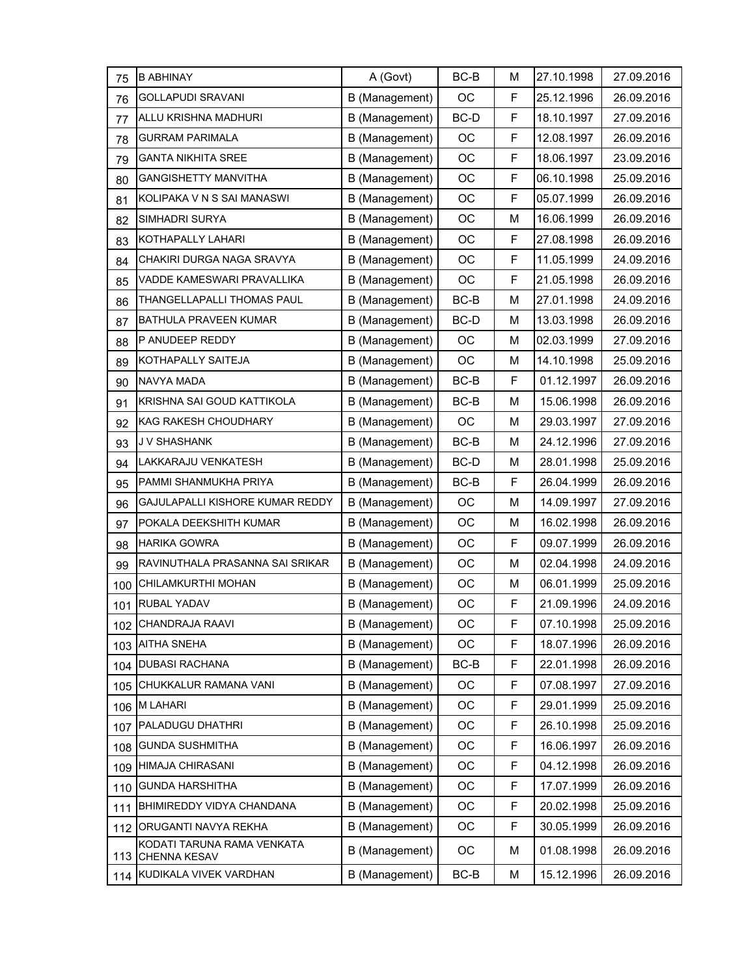| 75  | <b>B ABHINAY</b>                                  | A (Govt)       | BC-B   | М | 27.10.1998 | 27.09.2016 |
|-----|---------------------------------------------------|----------------|--------|---|------------|------------|
| 76  | <b>GOLLAPUDI SRAVANI</b>                          | B (Management) | OC     | F | 25.12.1996 | 26.09.2016 |
| 77  | ALLU KRISHNA MADHURI                              | B (Management) | BC-D   | F | 18.10.1997 | 27.09.2016 |
| 78  | <b>GURRAM PARIMALA</b>                            | B (Management) | OC     | F | 12.08.1997 | 26.09.2016 |
| 79  | <b>GANTA NIKHITA SREE</b>                         | B (Management) | OC     | F | 18.06.1997 | 23.09.2016 |
| 80  | <b>GANGISHETTY MANVITHA</b>                       | B (Management) | OC     | F | 06.10.1998 | 25.09.2016 |
| 81  | KOLIPAKA V N S SAI MANASWI                        | B (Management) | OC     | F | 05.07.1999 | 26.09.2016 |
| 82  | <b>SIMHADRI SURYA</b>                             | B (Management) | OC     | М | 16.06.1999 | 26.09.2016 |
| 83  | KOTHAPALLY LAHARI                                 | B (Management) | OC     | F | 27.08.1998 | 26.09.2016 |
| 84  | CHAKIRI DURGA NAGA SRAVYA                         | B (Management) | OC     | F | 11.05.1999 | 24.09.2016 |
| 85  | VADDE KAMESWARI PRAVALLIKA                        | B (Management) | OC     | F | 21.05.1998 | 26.09.2016 |
| 86  | THANGELLAPALLI THOMAS PAUL                        | B (Management) | $BC-B$ | M | 27.01.1998 | 24.09.2016 |
| 87  | <b>BATHULA PRAVEEN KUMAR</b>                      | B (Management) | BC-D   | М | 13.03.1998 | 26.09.2016 |
| 88  | P ANUDEEP REDDY                                   | B (Management) | OC     | М | 02.03.1999 | 27.09.2016 |
| 89  | KOTHAPALLY SAITEJA                                | B (Management) | OC     | M | 14.10.1998 | 25.09.2016 |
| 90  | NAVYA MADA                                        | B (Management) | $BC-B$ | F | 01.12.1997 | 26.09.2016 |
| 91  | KRISHNA SAI GOUD KATTIKOLA                        | B (Management) | BC-B   | М | 15.06.1998 | 26.09.2016 |
| 92  | KAG RAKESH CHOUDHARY                              | B (Management) | OC     | М | 29.03.1997 | 27.09.2016 |
| 93  | J V SHASHANK                                      | B (Management) | $BC-B$ | M | 24.12.1996 | 27.09.2016 |
| 94  | LAKKARAJU VENKATESH                               | B (Management) | BC-D   | М | 28.01.1998 | 25.09.2016 |
| 95  | PAMMI SHANMUKHA PRIYA                             | B (Management) | BC-B   | F | 26.04.1999 | 26.09.2016 |
| 96  | GAJULAPALLI KISHORE KUMAR REDDY                   | B (Management) | OC     | M | 14.09.1997 | 27.09.2016 |
| 97  | POKALA DEEKSHITH KUMAR                            | B (Management) | OC     | М | 16.02.1998 | 26.09.2016 |
| 98  | <b>HARIKA GOWRA</b>                               | B (Management) | OC     | F | 09.07.1999 | 26.09.2016 |
| 99  | RAVINUTHALA PRASANNA SAI SRIKAR                   | B (Management) | OC     | M | 02.04.1998 | 24.09.2016 |
| 100 | CHILAMKURTHI MOHAN                                | B (Management) | OC     | М | 06.01.1999 | 25.09.2016 |
| 101 | RUBAL YADAV                                       | B (Management) | OC     | F | 21.09.1996 | 24.09.2016 |
|     | 102 CHANDRAJA RAAVI                               | B (Management) | ОC     | F | 07.10.1998 | 25.09.2016 |
| 103 | <b>AITHA SNEHA</b>                                | B (Management) | OC     | F | 18.07.1996 | 26.09.2016 |
|     | 104 DUBASI RACHANA                                | B (Management) | $BC-B$ | F | 22.01.1998 | 26.09.2016 |
| 105 | CHUKKALUR RAMANA VANI                             | B (Management) | OC     | F | 07.08.1997 | 27.09.2016 |
| 106 | <b>M LAHARI</b>                                   | B (Management) | OC     | F | 29.01.1999 | 25.09.2016 |
| 107 | PALADUGU DHATHRI                                  | B (Management) | OC     | F | 26.10.1998 | 25.09.2016 |
| 108 | <b>GUNDA SUSHMITHA</b>                            | B (Management) | OC     | F | 16.06.1997 | 26.09.2016 |
| 109 | HIMAJA CHIRASANI                                  | B (Management) | OC     | F | 04.12.1998 | 26.09.2016 |
| 110 | <b>GUNDA HARSHITHA</b>                            | B (Management) | ОC     | F | 17.07.1999 | 26.09.2016 |
| 111 | BHIMIREDDY VIDYA CHANDANA                         | B (Management) | OC     | F | 20.02.1998 | 25.09.2016 |
| 112 | ORUGANTI NAVYA REKHA                              | B (Management) | OC     | F | 30.05.1999 | 26.09.2016 |
| 113 | KODATI TARUNA RAMA VENKATA<br><b>CHENNA KESAV</b> | B (Management) | OC     | м | 01.08.1998 | 26.09.2016 |
| 114 | KUDIKALA VIVEK VARDHAN                            | B (Management) | BC-B   | М | 15.12.1996 | 26.09.2016 |